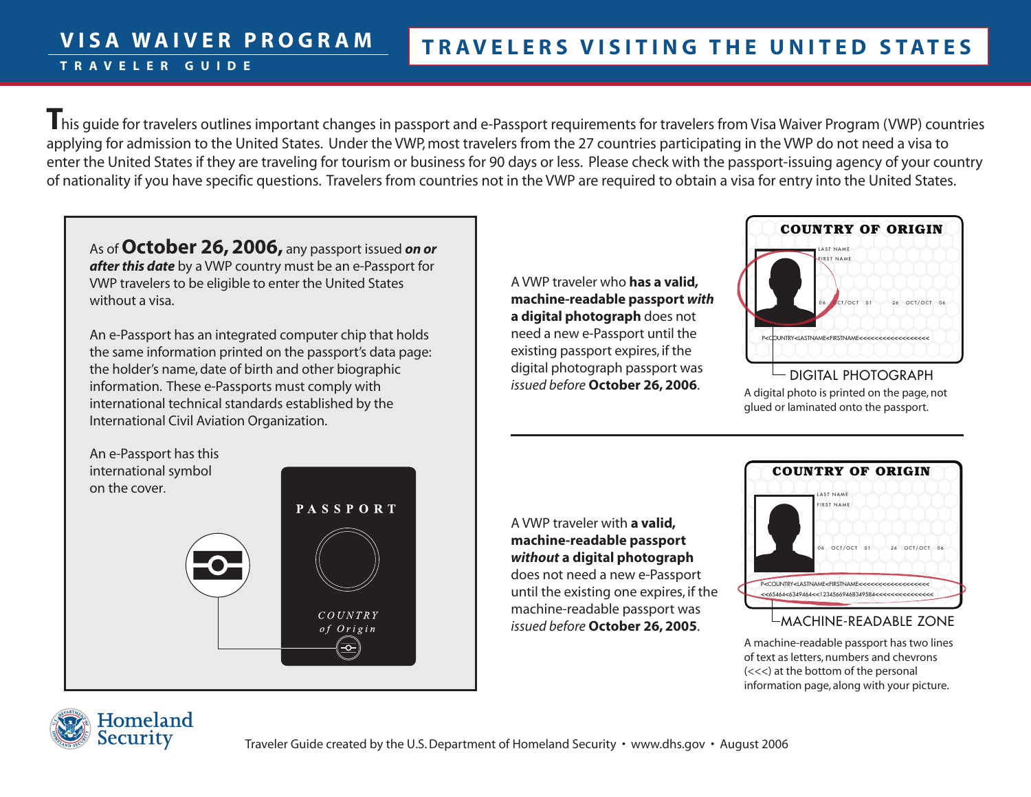This quide for travelers outlines important changes in passport and e-Passport requirements for travelers from Visa Waiver Program (VWP) countries applying for admission to the United States. Under the VWP, most travelers from the 27 countries participating in the VWP do not need a visa to enter the United States if they are traveling for tourism or business for 90 days or less. Please check with the passport-issuing agency of your country of nationality if you have specific questions. Travelers from countries not in the VWP are required to obtain a visa for entry into the United States.

As of **October 26, 2006,** any passport issued *on or after this date* by a VWP country must be an e-Passport for VWP travelers to be eligible to enter the United States without a visa.

**V I S A W A I V E R P R O G R A M**

**T R A V E L E R G U I D E** 

An e-Passport has an integrated computer chip that holds the same information printed on the passport's data page: the holder's name, date of birth and other biographic information. These e-Passports must comply with international technical standards established by the International Civil Aviation Organization.

A VWP traveler who **has a valid, machine-readable passport** *with*  **a digital photograph** does not need a new e-Passport until the existing passport expires, if the digital photograph passport was *issued before* **October 26, 2006**.



DIGITAL PHOTOGRAPH A digital photo is printed on the page, not glued or laminated onto the passport.

An e-Passport has this international symbol on the cover.



A VWP traveler with **a valid, machine-readable passport**  *without* **a digital photograph** does not need a new e-Passport until the existing one expires, if the machine-readable passport was *issued before* **October 26, 2005**.



#### MACHINE-READABLE ZONE

A machine-readable passport has two lines of text as letters, numbers and chevrons (<<<) at the bottom of the personal information page, along with your picture.